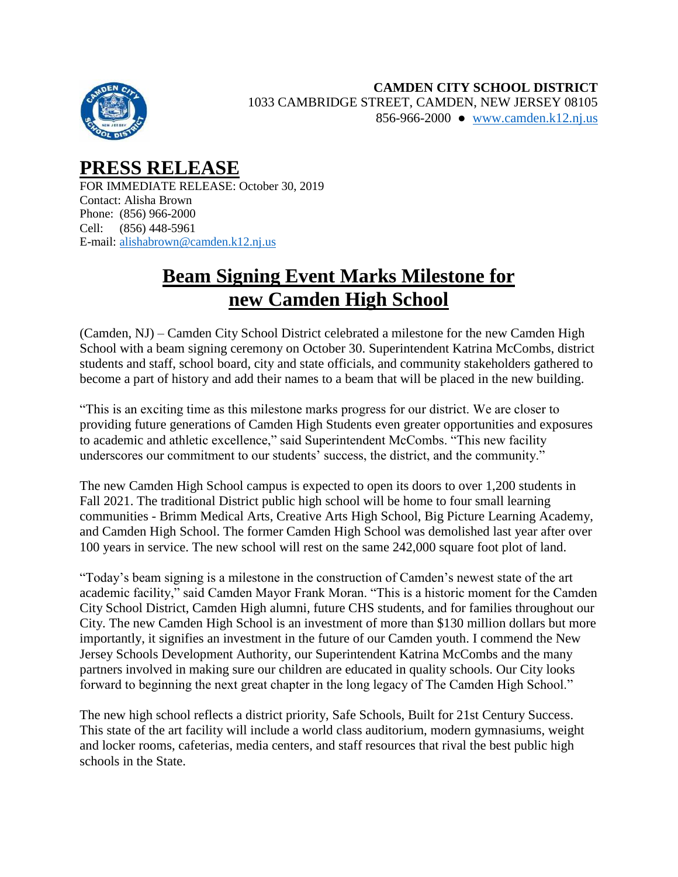

## **PRESS RELEASE**

FOR IMMEDIATE RELEASE: October 30, 2019 Contact: Alisha Brown Phone: (856) 966-2000 Cell: (856) 448-5961 E-mail: [alishabrown@camden.k12.nj.us](mailto:alishabrown@camden.k12.nj.us)

## **Beam Signing Event Marks Milestone for new Camden High School**

(Camden, NJ) – Camden City School District celebrated a milestone for the new Camden High School with a beam signing ceremony on October 30. Superintendent Katrina McCombs, district students and staff, school board, city and state officials, and community stakeholders gathered to become a part of history and add their names to a beam that will be placed in the new building.

"This is an exciting time as this milestone marks progress for our district. We are closer to providing future generations of Camden High Students even greater opportunities and exposures to academic and athletic excellence," said Superintendent McCombs. "This new facility underscores our commitment to our students' success, the district, and the community."

The new Camden High School campus is expected to open its doors to over 1,200 students in Fall 2021. The traditional District public high school will be home to four small learning communities - Brimm Medical Arts, Creative Arts High School, Big Picture Learning Academy, and Camden High School. The former Camden High School was demolished last year after over 100 years in service. The new school will rest on the same 242,000 square foot plot of land.

"Today's beam signing is a milestone in the construction of Camden's newest state of the art academic facility," said Camden Mayor Frank Moran. "This is a historic moment for the Camden City School District, Camden High alumni, future CHS students, and for families throughout our City. The new Camden High School is an investment of more than \$130 million dollars but more importantly, it signifies an investment in the future of our Camden youth. I commend the New Jersey Schools Development Authority, our Superintendent Katrina McCombs and the many partners involved in making sure our children are educated in quality schools. Our City looks forward to beginning the next great chapter in the long legacy of The Camden High School."

The new high school reflects a district priority, Safe Schools, Built for 21st Century Success. This state of the art facility will include a world class auditorium, modern gymnasiums, weight and locker rooms, cafeterias, media centers, and staff resources that rival the best public high schools in the State.